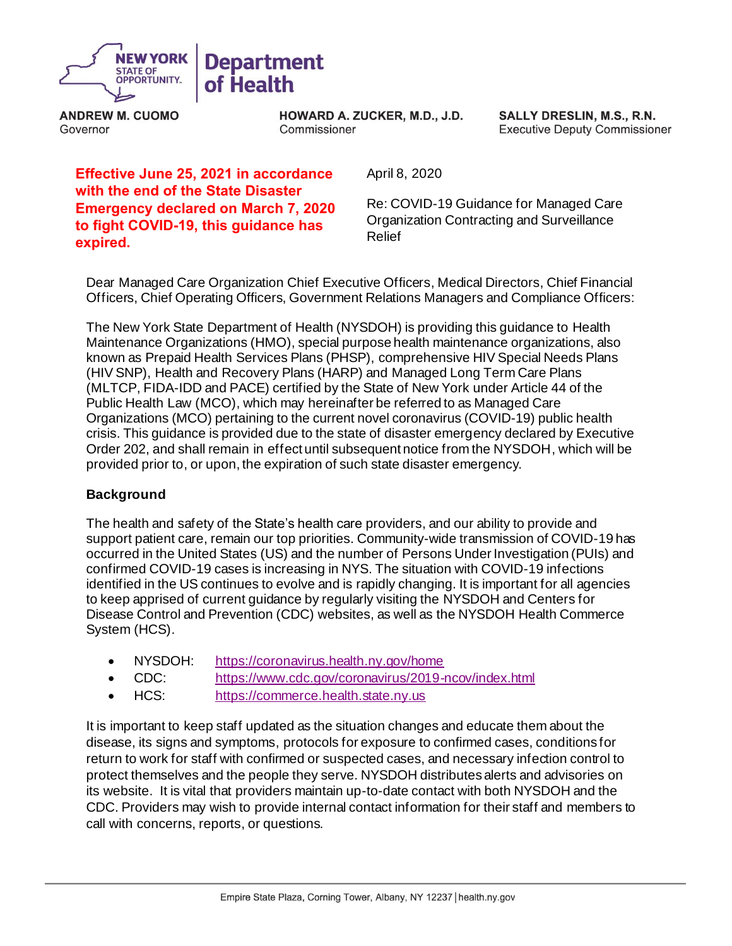

**ANDREW M. CUOMO**  Governor

**HOWARD A. ZUCKER, M.D., J.D.**  Commissioner

**SALLY DRESLIN, M.S., R.N.**  Executive Deputy Commissioner

# **Effective June 25, 2021 in accordance with the end of the State Disaster Emergency declared on March 7, 2020 to fight COVID-19, this guidance has expired.**

April 8, 2020

 Re: COVID-19 Guidance for Managed Care Organization Contracting and Surveillance Relief

 Dear Managed Care Organization Chief Executive Officers, Medical Directors, Chief Financial Officers, Chief Operating Officers, Government Relations Managers and Compliance Officers:

 The New York State Department of Health (NYSDOH) is providing this guidance to Health Maintenance Organizations (HMO), special purpose health maintenance organizations, also known as Prepaid Health Services Plans (PHSP), comprehensive HIV Special Needs Plans (HIV SNP), Health and Recovery Plans (HARP) and Managed Long Term Care Plans (MLTCP, FIDA-IDD and PACE) certified by the State of New York under Article 44 of the Public Health Law (MCO), which may hereinafter be referred to as Managed Care Organizations (MCO) pertaining to the current novel coronavirus (COVID-19) public health crisis. This guidance is provided due to the state of disaster emergency declared by Executive Order 202, and shall remain in effect until subsequent notice from the NYSDOH, which will be provided prior to, or upon, the expiration of such state disaster emergency.

### **Background**

 The health and safety of the State's health care providers, and our ability to provide and support patient care, remain our top priorities. Community-wide transmission of COVID-19 has occurred in the United States (US) and the number of Persons Under Investigation (PUIs) and confirmed COVID-19 cases is increasing in NYS. The situation with COVID-19 infections identified in the US continues to evolve and is rapidly changing. It is important for all agencies to keep apprised of current guidance by regularly visiting the NYSDOH and Centers for Disease Control and Prevention (CDC) websites, as well as the NYSDOH Health Commerce System (HCS).

- NYSDOH: https://coronavirus.health.ny.gov/home
- CDC: <https://www.cdc.gov/coronavirus/2019-ncov/index.html>
- HCS: https://commerce.health.state.ny.us

 It is important to keep staff updated as the situation changes and educate them about the disease, its signs and symptoms, protocols for exposure to confirmed cases, conditions for return to work for staff with confirmed or suspected cases, and necessary infection control to protect themselves and the people they serve. NYSDOH distributes alerts and advisories on its website. It is vital that providers maintain up-to-date contact with both NYSDOH and the CDC. Providers may wish to provide internal contact information for their staff and members to call with concerns, reports, or questions.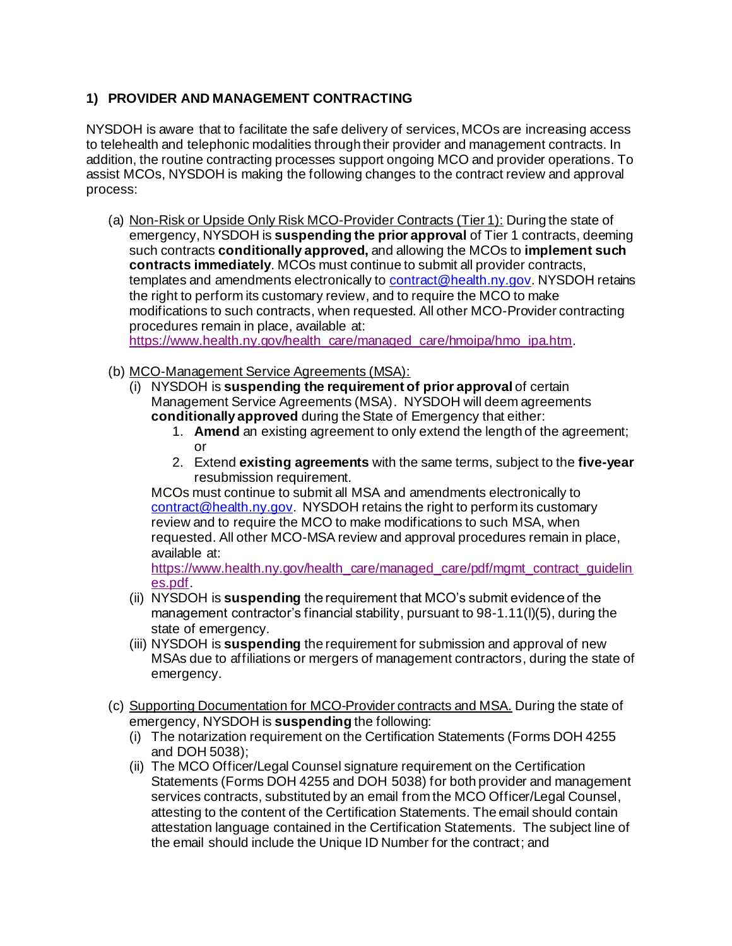# **1) PROVIDER AND MANAGEMENT CONTRACTING**

 NYSDOH is aware that to facilitate the safe delivery of services, MCOs are increasing access to telehealth and telephonic modalities through their provider and management contracts. In addition, the routine contracting processes support ongoing MCO and provider operations. To assist MCOs, NYSDOH is making the following changes to the contract review and approval process:

(a) Non-Risk or Upside Only Risk MCO-Provider Contracts (Tier 1): During the state of  emergency, NYSDOH is **suspending the prior approval** of Tier 1 contracts, deeming such contracts **conditionally approved,** and allowing the MCOs to **implement such contracts immediately**. MCOs must continue to submit all provider contracts, the right to perform its customary review, and to require the MCO to make modifications to such contracts, when requested. All other MCO-Provider contracting procedures remain in place, available at: templates and amendments electronically to [contract@health.ny.gov](mailto:contract@health.ny.gov). NYSDOH retains

[https://www.health.ny.gov/health\\_care/managed\\_care/hmoipa/hmo\\_ipa.htm](https://www.health.ny.gov/health_care/managed_care/hmoipa/hmo_ipa.htm).

- (b) MCO-Management Service Agreements (MSA):
	- (i) NYSDOH is **suspending the requirement of prior approval** of certain Management Service Agreements (MSA). NYSDOH will deem agreements **conditionally approved** during the State of Emergency that either:
		- 1. **Amend** an existing agreement to only extend the length of the agreement; or
		- 2. Extend **existing agreements** with the same terms, subject to the **five-year**  resubmission requirement.

 MCOs must continue to submit all MSA and amendments electronically to [contract@health.ny.gov](mailto:contract@health.ny.gov). NYSDOH retains the right to perform its customary review and to require the MCO to make modifications to such MSA, when requested. All other MCO-MSA review and approval procedures remain in place, available at:

https://www.health.ny.gov/health\_care/managed\_care/pdf/mgmt\_contract\_guidelin\_ [es.pdf](https://www.health.ny.gov/health_care/managed_care/pdf/mgmt_contract_guidelines.pdf).

- (ii) NYSDOH is **suspending** the requirement that MCO's submit evidence of the management contractor's financial stability, pursuant to 98-1.11(l)(5), during the state of emergency.
- (iii) NYSDOH is **suspending** the requirement for submission and approval of new MSAs due to affiliations or mergers of management contractors, during the state of emergency.
- (c) Supporting Documentation for MCO-Provider contracts and MSA. During the state of emergency, NYSDOH is **suspending** the following:
	- (i) The notarization requirement on the Certification Statements (Forms DOH 4255 and DOH 5038);
	- (ii) The MCO Officer/Legal Counsel signature requirement on the Certification Statements (Forms DOH 4255 and DOH 5038) for both provider and management services contracts, substituted by an email from the MCO Officer/Legal Counsel, attesting to the content of the Certification Statements. The email should contain attestation language contained in the Certification Statements. The subject line of the email should include the Unique ID Number for the contract; and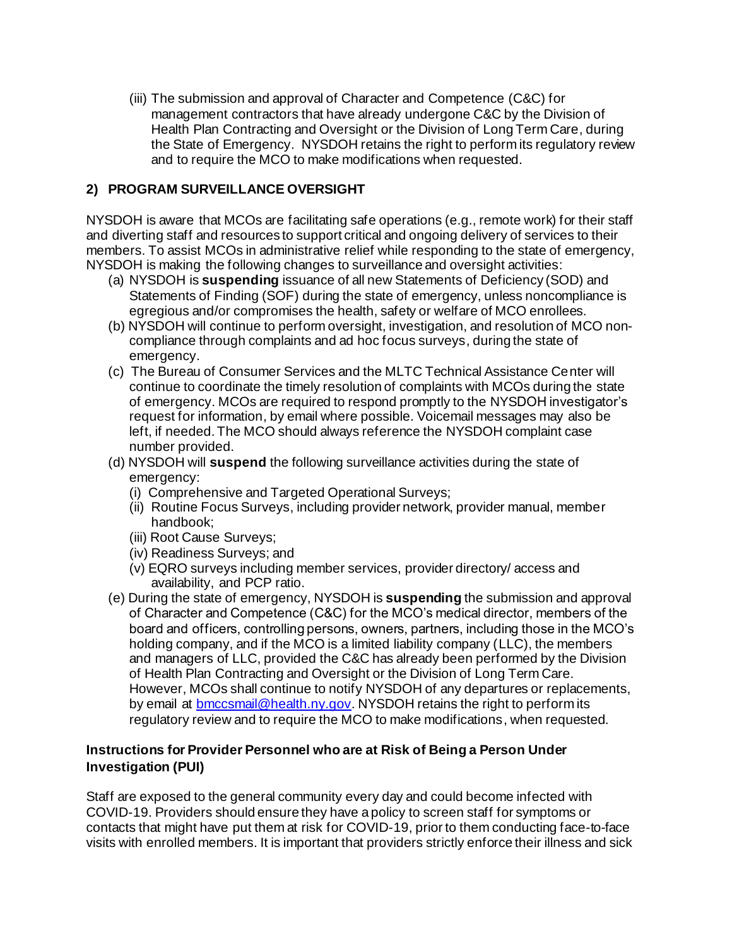(iii) The submission and approval of Character and Competence (C&C) for management contractors that have already undergone C&C by the Division of Health Plan Contracting and Oversight or the Division of Long Term Care, during the State of Emergency. NYSDOH retains the right to perform its regulatory review and to require the MCO to make modifications when requested.

## **2) PROGRAM SURVEILLANCE OVERSIGHT**

 NYSDOH is aware that MCOs are facilitating safe operations (e.g., remote work) for their staff and diverting staff and resources to support critical and ongoing delivery of services to their members. To assist MCOs in administrative relief while responding to the state of emergency, NYSDOH is making the following changes to surveillance and oversight activities:

- (a) NYSDOH is **suspending** issuance of all new Statements of Deficiency (SOD) and Statements of Finding (SOF) during the state of emergency, unless noncompliance is egregious and/or compromises the health, safety or welfare of MCO enrollees.
- (b) NYSDOH will continue to perform oversight, investigation, and resolution of MCO non- compliance through complaints and ad hoc focus surveys, during the state of emergency.
- (c) The Bureau of Consumer Services and the MLTC Technical Assistance Center will continue to coordinate the timely resolution of complaints with MCOs during the state of emergency. MCOs are required to respond promptly to the NYSDOH investigator's request for information, by email where possible. Voicemail messages may also be left, if needed. The MCO should always reference the NYSDOH complaint case number provided.
- number provided. (d) NYSDOH will **suspend** the following surveillance activities during the state of emergency:
	- (i) Comprehensive and Targeted Operational Surveys;
	- (ii) Routine Focus Surveys, including provider network, provider manual, member handbook;
	- (iii) Root Cause Surveys;
	- (iv) Readiness Surveys; and
	- (v) EQRO surveys including member services, provider directory/ access and availability, and PCP ratio.
- (e) During the state of emergency, NYSDOH is **suspending** the submission and approval of Character and Competence (C&C) for the MCO's medical director, members of the board and officers, controlling persons, owners, partners, including those in the MCO's holding company, and if the MCO is a limited liability company (LLC), the members and managers of LLC, provided the C&C has already been performed by the Division of Health Plan Contracting and Oversight or the Division of Long Term Care. However, MCOs shall continue to notify NYSDOH of any departures or replacements, by email at **bmccsmail@health.ny.gov**. NYSDOH retains the right to perform its regulatory review and to require the MCO to make modifications, when requested.

### **Instructions for Provider Personnel who are at Risk of Being a Person Under Investigation (PUI)**

 Staff are exposed to the general community every day and could become infected with COVID-19. Providers should ensure they have a policy to screen staff for symptoms or contacts that might have put them at risk for COVID-19, prior to them conducting face-to-face visits with enrolled members. It is important that providers strictly enforce their illness and sick